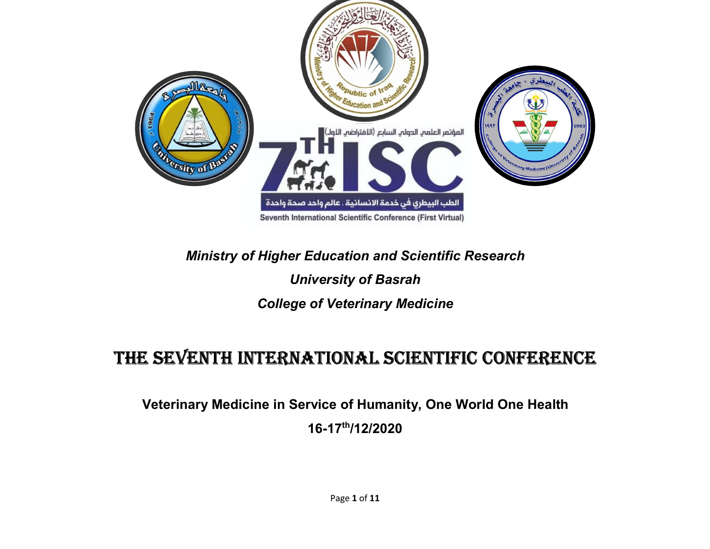

# Ministry of Higher Education and Scientific Research

# University of Basrah

#### College of Veterinary Medicine

# THE SEVENTH INTERNATIONAL SCIENTIFIC CONFERENCE

 Veterinary Medicine in Service of Humanity, One World One Health 16-17th/12/2020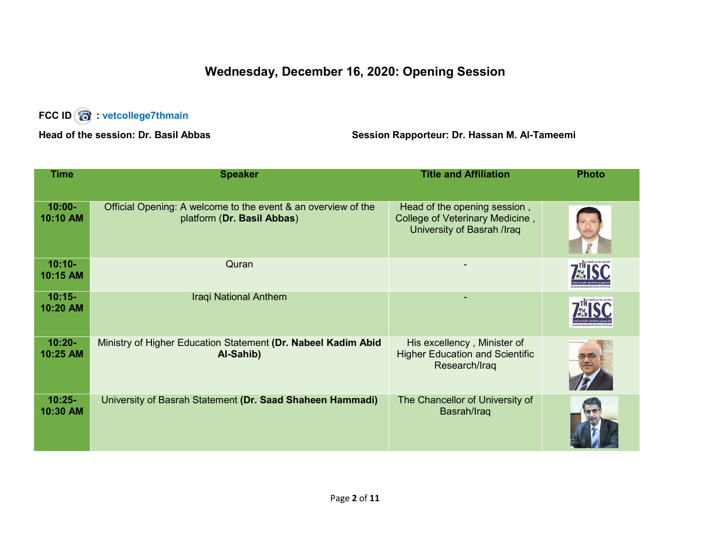#### Wednesday, December 16, 2020: Opening Session

## FCC ID **8** : vetcollege7thmain

#### Head of the session: Dr. Basil Abbas Session Rapporteur: Dr. Hassan M. Al-Tameemi

| <b>Time</b>           | <b>Speaker</b>                                                                              | <b>Title and Affiliation</b>                                                                  | <b>Photo</b> |
|-----------------------|---------------------------------------------------------------------------------------------|-----------------------------------------------------------------------------------------------|--------------|
| $10:00 -$<br>10:10 AM | Official Opening: A welcome to the event & an overview of the<br>platform (Dr. Basil Abbas) | Head of the opening session,<br>College of Veterinary Medicine,<br>University of Basrah /Iraq |              |
| $10:10-$<br>10:15 AM  | Quran                                                                                       |                                                                                               |              |
| $10:15-$<br>10:20 AM  | <b>Iraqi National Anthem</b>                                                                |                                                                                               |              |
| $10:20 -$<br>10:25 AM | Ministry of Higher Education Statement (Dr. Nabeel Kadim Abid<br>Al-Sahib)                  | His excellency, Minister of<br><b>Higher Education and Scientific</b><br>Research/Iraq        |              |
| $10:25 -$<br>10:30 AM | University of Basrah Statement (Dr. Saad Shaheen Hammadi)                                   | The Chancellor of University of<br>Basrah/Iraq                                                |              |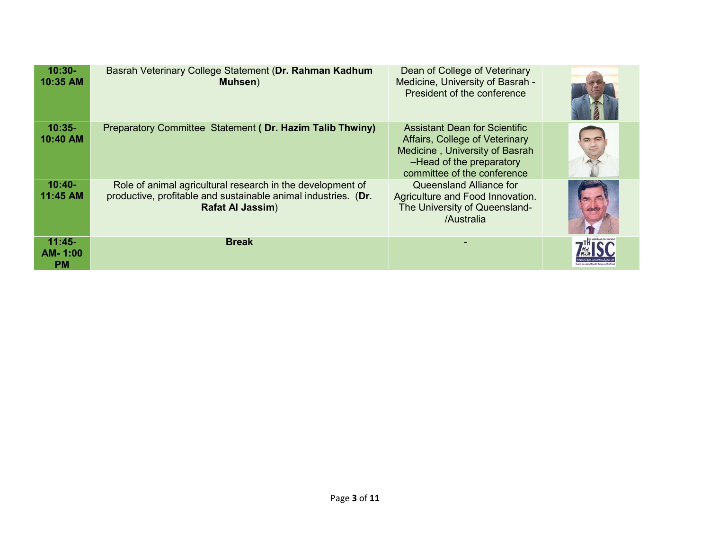| $10:30-$<br>10:35 AM             | Basrah Veterinary College Statement (Dr. Rahman Kadhum<br>Muhsen)                                                                                       | Dean of College of Veterinary<br>Medicine, University of Basrah -<br>President of the conference                                                             |  |
|----------------------------------|---------------------------------------------------------------------------------------------------------------------------------------------------------|--------------------------------------------------------------------------------------------------------------------------------------------------------------|--|
| $10:35-$<br>10:40 AM             | Preparatory Committee Statement (Dr. Hazim Talib Thwiny)                                                                                                | Assistant Dean for Scientific<br>Affairs, College of Veterinary<br>Medicine, University of Basrah<br>-Head of the preparatory<br>committee of the conference |  |
| $10:40-$<br>11:45 AM             | Role of animal agricultural research in the development of<br>productive, profitable and sustainable animal industries. (Dr.<br><b>Rafat Al Jassim)</b> | Queensland Alliance for<br>Agriculture and Food Innovation.<br>The University of Queensland-<br>/Australia                                                   |  |
| $11:45-$<br>AM-1:00<br><b>PM</b> | <b>Break</b>                                                                                                                                            |                                                                                                                                                              |  |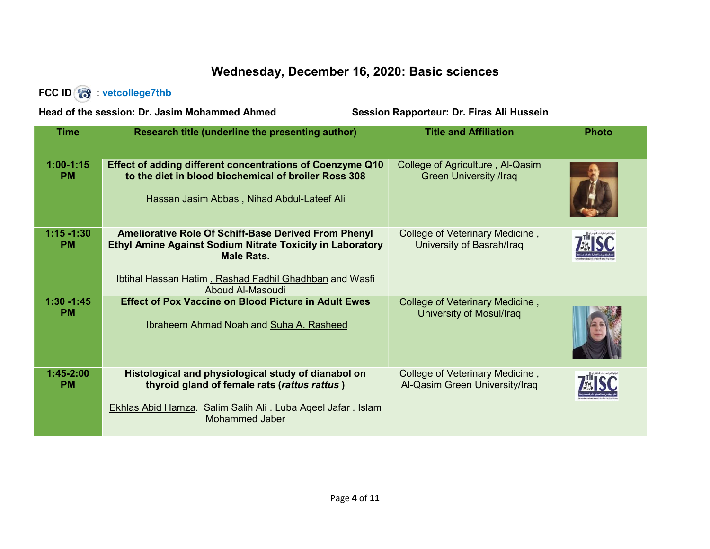#### Wednesday, December 16, 2020: Basic sciences

#### FCC ID **6** : vetcollege7thb

Head of the session: Dr. Jasim Mohammed Ahmed Session Rapporteur: Dr. Firas Ali Hussein

| <b>Time</b>                | Research title (underline the presenting author)                                                                                                                                                                                   | <b>Title and Affiliation</b>                                      | <b>Photo</b> |
|----------------------------|------------------------------------------------------------------------------------------------------------------------------------------------------------------------------------------------------------------------------------|-------------------------------------------------------------------|--------------|
| $1:00-1:15$<br><b>PM</b>   | Effect of adding different concentrations of Coenzyme Q10<br>to the diet in blood biochemical of broiler Ross 308<br>Hassan Jasim Abbas, Nihad Abdul-Lateef Ali                                                                    | College of Agriculture, Al-Qasim<br><b>Green University /Iraq</b> |              |
| $1:15 - 1:30$<br><b>PM</b> | <b>Ameliorative Role Of Schiff-Base Derived From Phenyl</b><br><b>Ethyl Amine Against Sodium Nitrate Toxicity in Laboratory</b><br><b>Male Rats.</b><br>Ibtihal Hassan Hatim, Rashad Fadhil Ghadhban and Wasfi<br>Aboud Al-Masoudi | College of Veterinary Medicine,<br>University of Basrah/Iraq      |              |
| $1:30 - 1:45$<br><b>PM</b> | <b>Effect of Pox Vaccine on Blood Picture in Adult Ewes</b><br>Ibraheem Ahmad Noah and Suha A. Rasheed                                                                                                                             | College of Veterinary Medicine,<br>University of Mosul/Iraq       |              |
| $1:45-2:00$<br><b>PM</b>   | Histological and physiological study of dianabol on<br>thyroid gland of female rats (rattus rattus)<br>Ekhlas Abid Hamza. Salim Salih Ali. Luba Aqeel Jafar. Islam<br><b>Mohammed Jaber</b>                                        | College of Veterinary Medicine,<br>Al-Qasim Green University/Iraq |              |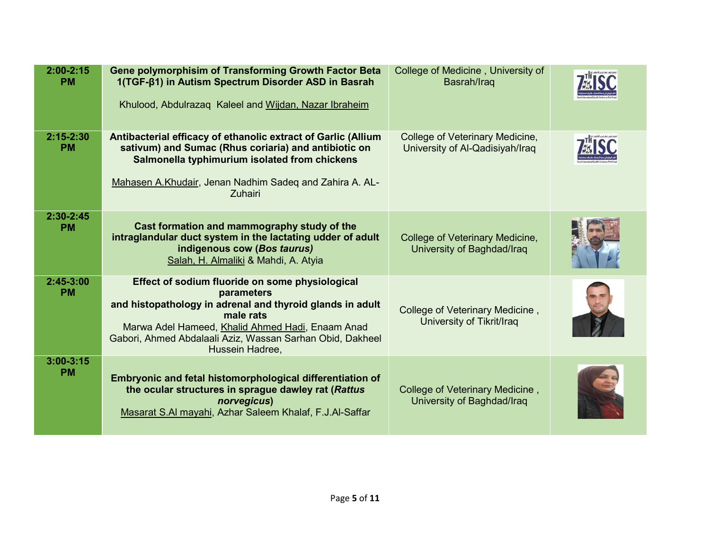| $2:00 - 2:15$<br><b>PM</b> | <b>Gene polymorphisim of Transforming Growth Factor Beta</b><br>1(TGF-β1) in Autism Spectrum Disorder ASD in Basrah<br>Khulood, Abdulrazaq Kaleel and Wijdan, Nazar Ibraheim                                                                                                | College of Medicine, University of<br>Basrah/Iraq                  |  |
|----------------------------|-----------------------------------------------------------------------------------------------------------------------------------------------------------------------------------------------------------------------------------------------------------------------------|--------------------------------------------------------------------|--|
| $2:15 - 2:30$<br><b>PM</b> | Antibacterial efficacy of ethanolic extract of Garlic (Allium<br>sativum) and Sumac (Rhus coriaria) and antibiotic on<br>Salmonella typhimurium isolated from chickens<br>Mahasen A.Khudair, Jenan Nadhim Sadeq and Zahira A. AL-<br><b>Zuhairi</b>                         | College of Veterinary Medicine,<br>University of Al-Qadisiyah/Iraq |  |
| $2:30 - 2:45$<br><b>PM</b> | Cast formation and mammography study of the<br>intraglandular duct system in the lactating udder of adult<br>indigenous cow (Bos taurus)<br>Salah, H. Almaliki & Mahdi, A. Atyia                                                                                            | College of Veterinary Medicine,<br>University of Baghdad/Iraq      |  |
| $2:45-3:00$<br><b>PM</b>   | Effect of sodium fluoride on some physiological<br>parameters<br>and histopathology in adrenal and thyroid glands in adult<br>male rats<br>Marwa Adel Hameed, Khalid Ahmed Hadi, Enaam Anad<br>Gabori, Ahmed Abdalaali Aziz, Wassan Sarhan Obid, Dakheel<br>Hussein Hadree, | College of Veterinary Medicine,<br>University of Tikrit/Iraq       |  |
| $3:00 - 3:15$<br><b>PM</b> | Embryonic and fetal histomorphological differentiation of<br>the ocular structures in sprague dawley rat (Rattus<br>norvegicus)<br>Masarat S.AI mayahi, Azhar Saleem Khalaf, F.J.Al-Saffar                                                                                  | College of Veterinary Medicine,<br>University of Baghdad/Iraq      |  |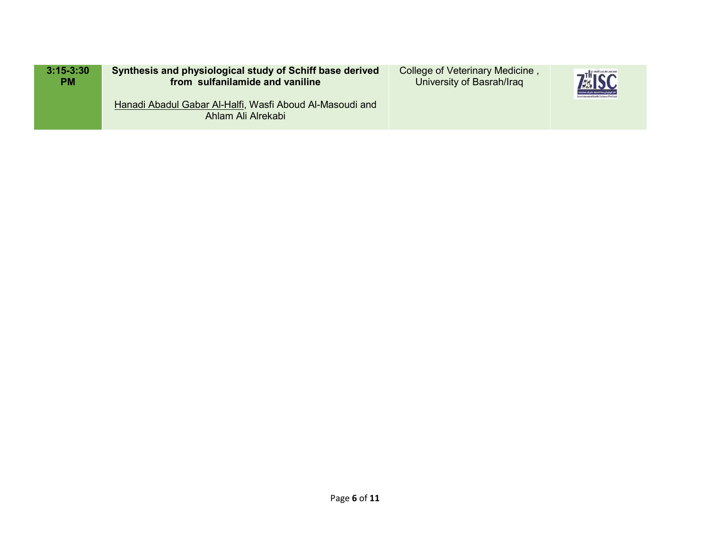| $3:15 - 3:30$ | Synthesis and physiological study of Schiff base derived                       | College of Veterinary Medicine, | <b>7MISC</b>                                        |
|---------------|--------------------------------------------------------------------------------|---------------------------------|-----------------------------------------------------|
| <b>PM</b>     | from sulfanilamide and vaniline                                                | University of Basrah/Iraq       | وحمد فيبتاري في فعمة النصائية، عالم باحد فيجة ولتنت |
|               | Hanadi Abadul Gabar Al-Halfi, Wasfi Aboud Al-Masoudi and<br>Ahlam Ali Alrekabi |                                 |                                                     |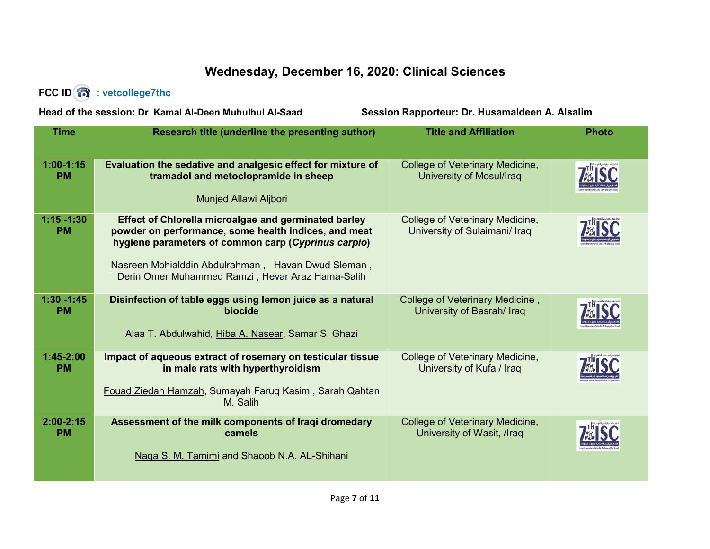#### Wednesday, December 16, 2020: Clinical Sciences

#### FCC ID **6** : vetcollege7thc

Head of the session: Dr. Kamal Al-Deen Muhulhul Al-Saad Session Rapporteur: Dr. Husamaldeen A. Alsalim

| <b>Time</b>                | Research title (underline the presenting author)                                                                                                                                                                                                                                     | <b>Title and Affiliation</b>                                     | <b>Photo</b> |
|----------------------------|--------------------------------------------------------------------------------------------------------------------------------------------------------------------------------------------------------------------------------------------------------------------------------------|------------------------------------------------------------------|--------------|
| $1:00-1:15$<br><b>PM</b>   | Evaluation the sedative and analgesic effect for mixture of<br>tramadol and metoclopramide in sheep<br><b>Munjed Allawi Aljbori</b>                                                                                                                                                  | College of Veterinary Medicine,<br>University of Mosul/Iraq      |              |
| $1:15 - 1:30$<br><b>PM</b> | <b>Effect of Chlorella microalgae and germinated barley</b><br>powder on performance, some health indices, and meat<br>hygiene parameters of common carp (Cyprinus carpio)<br>Nasreen Mohialddin Abdulrahman, Havan Dwud Sleman,<br>Derin Omer Muhammed Ramzi, Hevar Araz Hama-Salih | College of Veterinary Medicine,<br>University of Sulaimani/ Iraq |              |
| $1:30 - 1:45$<br><b>PM</b> | Disinfection of table eggs using lemon juice as a natural<br>biocide<br>Alaa T. Abdulwahid, Hiba A. Nasear, Samar S. Ghazi                                                                                                                                                           | College of Veterinary Medicine,<br>University of Basrah/ Iraq    |              |
| $1:45-2:00$<br><b>PM</b>   | Impact of aqueous extract of rosemary on testicular tissue<br>in male rats with hyperthyroidism<br>Fouad Ziedan Hamzah, Sumayah Faruq Kasim, Sarah Qahtan<br>M. Salih                                                                                                                | College of Veterinary Medicine,<br>University of Kufa / Iraq     |              |
| $2:00 - 2:15$<br><b>PM</b> | Assessment of the milk components of Iraqi dromedary<br>camels<br>Naga S. M. Tamimi and Shaoob N.A. AL-Shihani                                                                                                                                                                       | College of Veterinary Medicine,<br>University of Wasit, /Iraq    |              |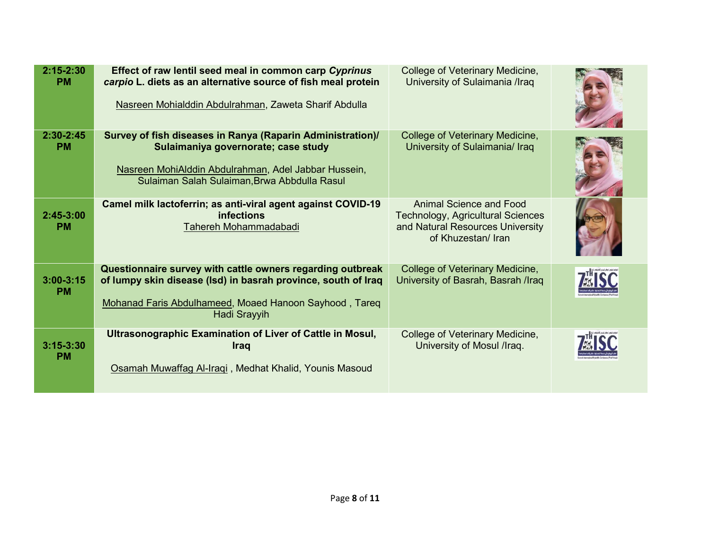| $2:15 - 2:30$<br><b>PM</b> | Effect of raw lentil seed meal in common carp Cyprinus<br>carpio L. diets as an alternative source of fish meal protein<br>Nasreen Mohialddin Abdulrahman, Zaweta Sharif Abdulla                          | College of Veterinary Medicine,<br>University of Sulaimania /Iraq                                                             |  |
|----------------------------|-----------------------------------------------------------------------------------------------------------------------------------------------------------------------------------------------------------|-------------------------------------------------------------------------------------------------------------------------------|--|
| $2:30 - 2:45$<br><b>PM</b> | Survey of fish diseases in Ranya (Raparin Administration)/<br>Sulaimaniya governorate; case study<br>Nasreen MohiAlddin Abdulrahman, Adel Jabbar Hussein,<br>Sulaiman Salah Sulaiman, Brwa Abbdulla Rasul | College of Veterinary Medicine,<br>University of Sulaimania/ Iraq                                                             |  |
| $2:45-3:00$<br><b>PM</b>   | Camel milk lactoferrin; as anti-viral agent against COVID-19<br><b>infections</b><br>Tahereh Mohammadabadi                                                                                                | Animal Science and Food<br><b>Technology, Agricultural Sciences</b><br>and Natural Resources University<br>of Khuzestan/ Iran |  |
| $3:00 - 3:15$<br><b>PM</b> | Questionnaire survey with cattle owners regarding outbreak<br>of lumpy skin disease (Isd) in basrah province, south of Iraq<br>Mohanad Faris Abdulhameed, Moaed Hanoon Sayhood, Tareq<br>Hadi Srayyih     | College of Veterinary Medicine,<br>University of Basrah, Basrah /Iraq                                                         |  |
| $3:15 - 3:30$<br><b>PM</b> | Ultrasonographic Examination of Liver of Cattle in Mosul,<br><b>Iraq</b><br>Osamah Muwaffag Al-Iraqi, Medhat Khalid, Younis Masoud                                                                        | College of Veterinary Medicine,<br>University of Mosul /Iraq.                                                                 |  |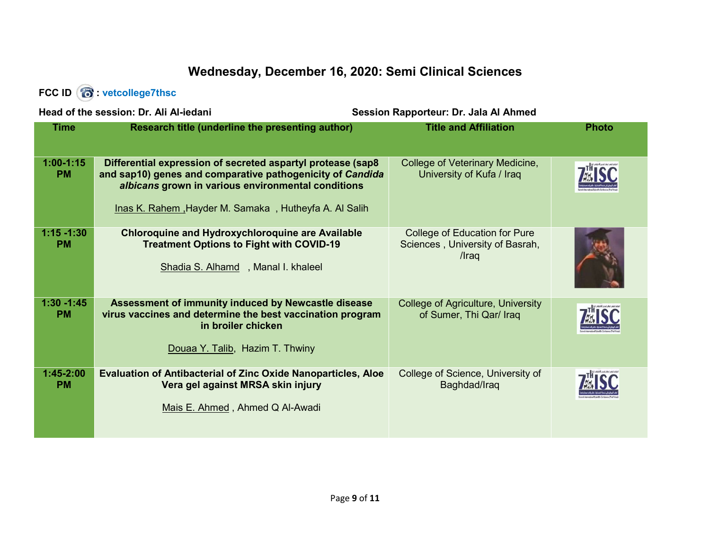### Wednesday, December 16, 2020: Semi Clinical Sciences

#### FCC ID **6** : vetcollege7thsc

| Head of the session: Dr. Ali Al-jedani |                                                                                                                                                                                                                                         | Session Rapporteur: Dr. Jala Al Ahmed                                            |              |
|----------------------------------------|-----------------------------------------------------------------------------------------------------------------------------------------------------------------------------------------------------------------------------------------|----------------------------------------------------------------------------------|--------------|
| <b>Time</b>                            | Research title (underline the presenting author)                                                                                                                                                                                        | <b>Title and Affiliation</b>                                                     | <b>Photo</b> |
|                                        |                                                                                                                                                                                                                                         |                                                                                  |              |
| $1:00-1:15$<br><b>PM</b>               | Differential expression of secreted aspartyl protease (sap8<br>and sap10) genes and comparative pathogenicity of Candida<br>albicans grown in various environmental conditions<br>Inas K. Rahem, Hayder M. Samaka, Hutheyfa A. Al Salih | College of Veterinary Medicine,<br>University of Kufa / Iraq                     |              |
| $1:15 - 1:30$<br><b>PM</b>             | <b>Chloroquine and Hydroxychloroquine are Available</b><br><b>Treatment Options to Fight with COVID-19</b><br>Shadia S. Alhamd, Manal I. khaleel                                                                                        | <b>College of Education for Pure</b><br>Sciences, University of Basrah,<br>/Iraq |              |
| $1:30 - 1:45$<br><b>PM</b>             | Assessment of immunity induced by Newcastle disease<br>virus vaccines and determine the best vaccination program<br>in broiler chicken<br>Douaa Y. Talib, Hazim T. Thwiny                                                               | <b>College of Agriculture, University</b><br>of Sumer, Thi Qar/ Iraq             |              |
| $1:45-2:00$<br><b>PM</b>               | <b>Evaluation of Antibacterial of Zinc Oxide Nanoparticles, Aloe</b><br>Vera gel against MRSA skin injury<br>Mais E. Ahmed, Ahmed Q Al-Awadi                                                                                            | College of Science, University of<br>Baghdad/Iraq                                |              |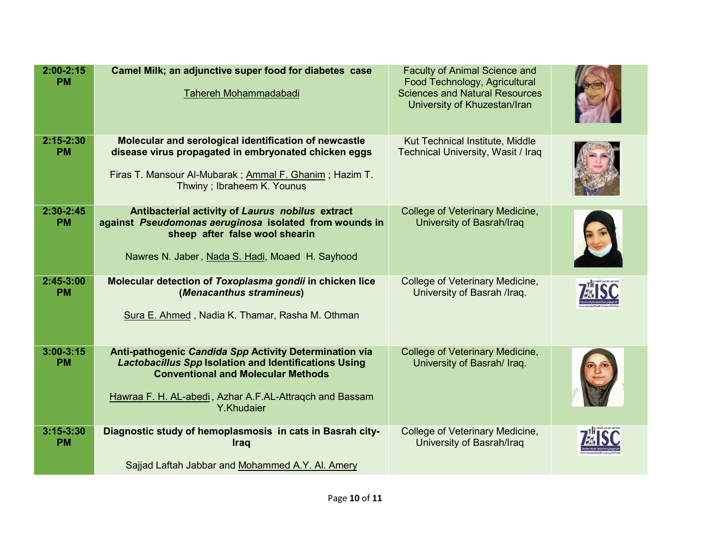| $2:00 - 2:15$<br><b>PM</b> | Camel Milk; an adjunctive super food for diabetes case<br>Tahereh Mohammadabadi                                                                                                                                                              | <b>Faculty of Animal Science and</b><br>Food Technology, Agricultural<br><b>Sciences and Natural Resources</b><br>University of Khuzestan/Iran |  |
|----------------------------|----------------------------------------------------------------------------------------------------------------------------------------------------------------------------------------------------------------------------------------------|------------------------------------------------------------------------------------------------------------------------------------------------|--|
| $2:15 - 2:30$<br><b>PM</b> | Molecular and serological identification of newcastle<br>disease virus propagated in embryonated chicken eggs<br>Firas T. Mansour Al-Mubarak ; Ammal F. Ghanim; Hazim T.<br>Thwiny; Ibraheem K. Younus                                       | Kut Technical Institute, Middle<br>Technical University, Wasit / Iraq                                                                          |  |
| $2:30-2:45$<br><b>PM</b>   | Antibacterial activity of Laurus nobilus extract<br>against Pseudomonas aeruginosa isolated from wounds in<br>sheep after false wool shearin<br>Nawres N. Jaber, Nada S. Hadi, Moaed H. Sayhood                                              | College of Veterinary Medicine,<br>University of Basrah/Iraq                                                                                   |  |
| $2:45-3:00$<br><b>PM</b>   | Molecular detection of Toxoplasma gondii in chicken lice<br>(Menacanthus stramineus)<br>Sura E. Ahmed, Nadia K. Thamar, Rasha M. Othman                                                                                                      | College of Veterinary Medicine,<br>University of Basrah /Iraq.                                                                                 |  |
| $3:00-3:15$<br><b>PM</b>   | Anti-pathogenic Candida Spp Activity Determination via<br><b>Lactobacillus Spp Isolation and Identifications Using</b><br><b>Conventional and Molecular Methods</b><br>Hawraa F. H. AL-abedi, Azhar A.F.AL-Attragch and Bassam<br>Y.Khudaier | College of Veterinary Medicine,<br>University of Basrah/ Iraq.                                                                                 |  |
| $3:15 - 3:30$<br><b>PM</b> | Diagnostic study of hemoplasmosis in cats in Basrah city-<br><b>Iraq</b><br>Sajjad Laftah Jabbar and Mohammed A.Y. Al. Amery                                                                                                                 | College of Veterinary Medicine,<br>University of Basrah/Iraq                                                                                   |  |